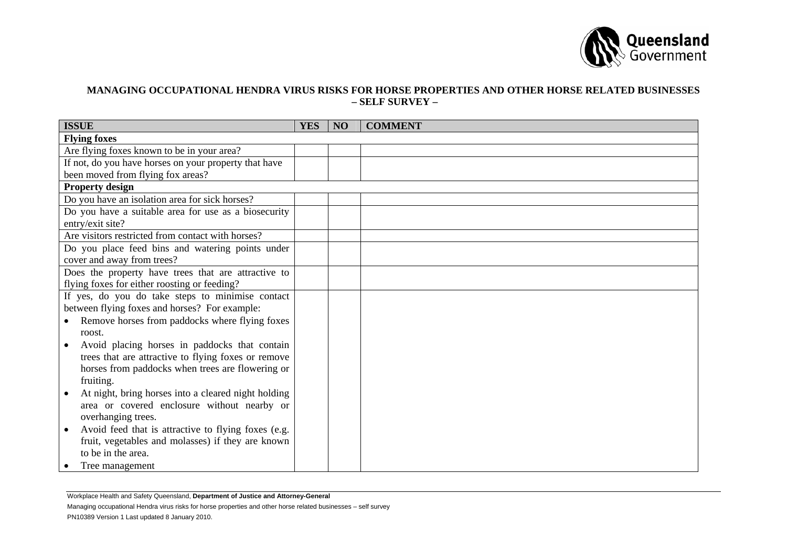

## **MANAGING OCCUPATIONAL HENDRA VIRUS RISKS FOR HORSE PROPERTIES AND OTHER HORSE RELATED BUSINESSES – SELF SURVEY –**

| <b>ISSUE</b>                                          | <b>YES</b> | <b>NO</b> | <b>COMMENT</b> |
|-------------------------------------------------------|------------|-----------|----------------|
| <b>Flying foxes</b>                                   |            |           |                |
| Are flying foxes known to be in your area?            |            |           |                |
| If not, do you have horses on your property that have |            |           |                |
| been moved from flying fox areas?                     |            |           |                |
| <b>Property design</b>                                |            |           |                |
| Do you have an isolation area for sick horses?        |            |           |                |
| Do you have a suitable area for use as a biosecurity  |            |           |                |
| entry/exit site?                                      |            |           |                |
| Are visitors restricted from contact with horses?     |            |           |                |
| Do you place feed bins and watering points under      |            |           |                |
| cover and away from trees?                            |            |           |                |
| Does the property have trees that are attractive to   |            |           |                |
| flying foxes for either roosting or feeding?          |            |           |                |
| If yes, do you do take steps to minimise contact      |            |           |                |
| between flying foxes and horses? For example:         |            |           |                |
| Remove horses from paddocks where flying foxes        |            |           |                |
| roost.                                                |            |           |                |
| Avoid placing horses in paddocks that contain         |            |           |                |
| trees that are attractive to flying foxes or remove   |            |           |                |
| horses from paddocks when trees are flowering or      |            |           |                |
| fruiting.                                             |            |           |                |
| At night, bring horses into a cleared night holding   |            |           |                |
| area or covered enclosure without nearby or           |            |           |                |
| overhanging trees.                                    |            |           |                |
| Avoid feed that is attractive to flying foxes (e.g.   |            |           |                |
| fruit, vegetables and molasses) if they are known     |            |           |                |
| to be in the area.                                    |            |           |                |
| Tree management                                       |            |           |                |

Workplace Health and Safety Queensland, **Department of Justice and Attorney-General**

Managing occupational Hendra virus risks for horse properties and other horse related businesses – self survey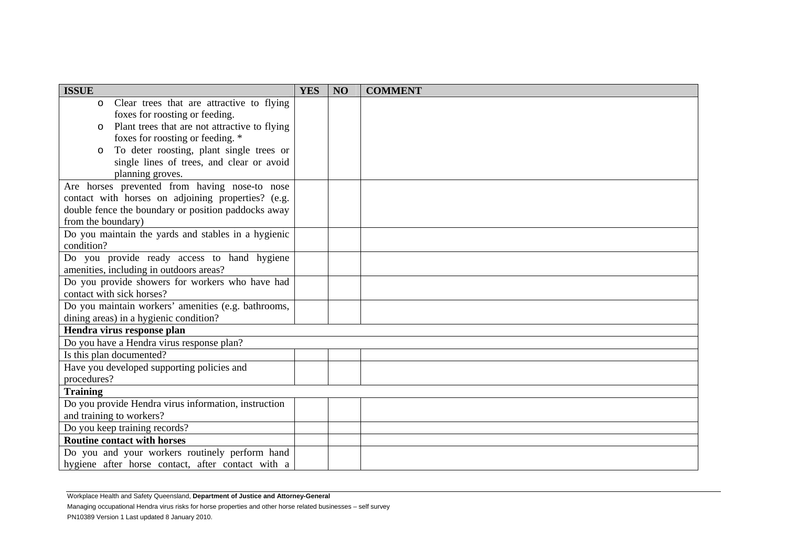| <b>ISSUE</b>                                             | <b>YES</b> | NO | <b>COMMENT</b> |
|----------------------------------------------------------|------------|----|----------------|
| Clear trees that are attractive to flying<br>$\circ$     |            |    |                |
| foxes for roosting or feeding.                           |            |    |                |
| Plant trees that are not attractive to flying<br>$\circ$ |            |    |                |
| foxes for roosting or feeding. *                         |            |    |                |
| To deter roosting, plant single trees or<br>$\circ$      |            |    |                |
| single lines of trees, and clear or avoid                |            |    |                |
| planning groves.                                         |            |    |                |
| Are horses prevented from having nose-to nose            |            |    |                |
| contact with horses on adjoining properties? (e.g.       |            |    |                |
| double fence the boundary or position paddocks away      |            |    |                |
| from the boundary)                                       |            |    |                |
| Do you maintain the yards and stables in a hygienic      |            |    |                |
| condition?                                               |            |    |                |
| Do you provide ready access to hand hygiene              |            |    |                |
| amenities, including in outdoors areas?                  |            |    |                |
| Do you provide showers for workers who have had          |            |    |                |
| contact with sick horses?                                |            |    |                |
| Do you maintain workers' amenities (e.g. bathrooms,      |            |    |                |
| dining areas) in a hygienic condition?                   |            |    |                |
| Hendra virus response plan                               |            |    |                |
| Do you have a Hendra virus response plan?                |            |    |                |
| Is this plan documented?                                 |            |    |                |
| Have you developed supporting policies and               |            |    |                |
| procedures?                                              |            |    |                |
| <b>Training</b>                                          |            |    |                |
| Do you provide Hendra virus information, instruction     |            |    |                |
| and training to workers?                                 |            |    |                |
| Do you keep training records?                            |            |    |                |
| <b>Routine contact with horses</b>                       |            |    |                |
| Do you and your workers routinely perform hand           |            |    |                |
| hygiene after horse contact, after contact with a        |            |    |                |

Workplace Health and Safety Queensland, **Department of Justice and Attorney-General**

Managing occupational Hendra virus risks for horse properties and other horse related businesses – self survey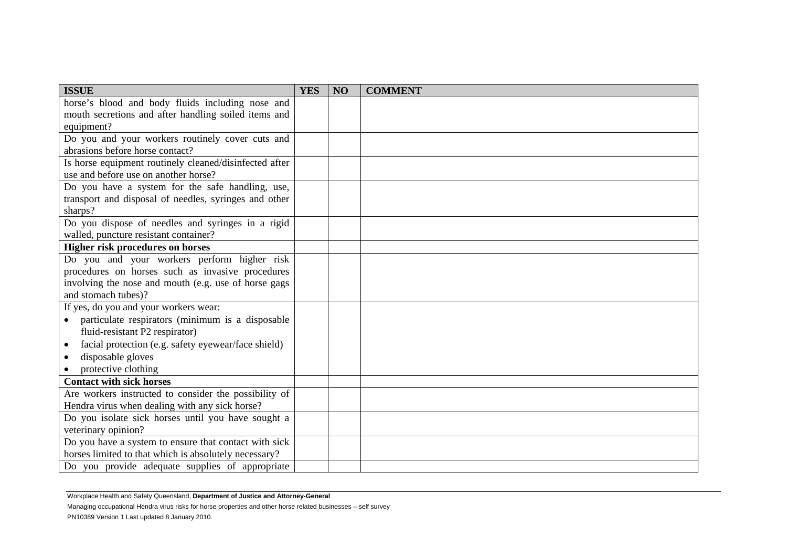| <b>ISSUE</b>                                                  | <b>YES</b> | N <sub>O</sub> | <b>COMMENT</b> |
|---------------------------------------------------------------|------------|----------------|----------------|
| horse's blood and body fluids including nose and              |            |                |                |
| mouth secretions and after handling soiled items and          |            |                |                |
| equipment?                                                    |            |                |                |
| Do you and your workers routinely cover cuts and              |            |                |                |
| abrasions before horse contact?                               |            |                |                |
| Is horse equipment routinely cleaned/disinfected after        |            |                |                |
| use and before use on another horse?                          |            |                |                |
| Do you have a system for the safe handling, use,              |            |                |                |
| transport and disposal of needles, syringes and other         |            |                |                |
| sharps?                                                       |            |                |                |
| Do you dispose of needles and syringes in a rigid             |            |                |                |
| walled, puncture resistant container?                         |            |                |                |
| <b>Higher risk procedures on horses</b>                       |            |                |                |
| Do you and your workers perform higher risk                   |            |                |                |
| procedures on horses such as invasive procedures              |            |                |                |
| involving the nose and mouth (e.g. use of horse gags          |            |                |                |
| and stomach tubes)?                                           |            |                |                |
| If yes, do you and your workers wear:                         |            |                |                |
| particulate respirators (minimum is a disposable<br>$\bullet$ |            |                |                |
| fluid-resistant P2 respirator)                                |            |                |                |
| facial protection (e.g. safety eyewear/face shield)           |            |                |                |
| disposable gloves                                             |            |                |                |
| protective clothing                                           |            |                |                |
| <b>Contact with sick horses</b>                               |            |                |                |
| Are workers instructed to consider the possibility of         |            |                |                |
| Hendra virus when dealing with any sick horse?                |            |                |                |
| Do you isolate sick horses until you have sought a            |            |                |                |
| veterinary opinion?                                           |            |                |                |
| Do you have a system to ensure that contact with sick         |            |                |                |
| horses limited to that which is absolutely necessary?         |            |                |                |
| Do you provide adequate supplies of appropriate               |            |                |                |

Workplace Health and Safety Queensland, **Department of Justice and Attorney-General**

Managing occupational Hendra virus risks for horse properties and other horse related businesses – self survey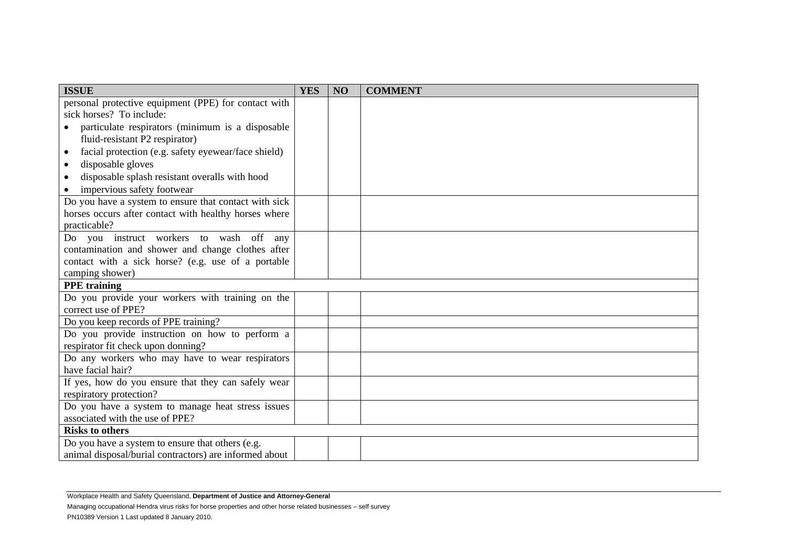| <b>YES</b> | NO | <b>COMMENT</b> |
|------------|----|----------------|
|            |    |                |
|            |    |                |
|            |    |                |
|            |    |                |
|            |    |                |
|            |    |                |
|            |    |                |
|            |    |                |
|            |    |                |
|            |    |                |
|            |    |                |
|            |    |                |
|            |    |                |
|            |    |                |
|            |    |                |
|            |    |                |
|            |    |                |
|            |    |                |
|            |    |                |
|            |    |                |
|            |    |                |
|            |    |                |
|            |    |                |
|            |    |                |
|            |    |                |
|            |    |                |
|            |    |                |
|            |    |                |
|            |    |                |
|            |    |                |

Workplace Health and Safety Queensland, **Department of Justice and Attorney-General**

Managing occupational Hendra virus risks for horse properties and other horse related businesses – self survey